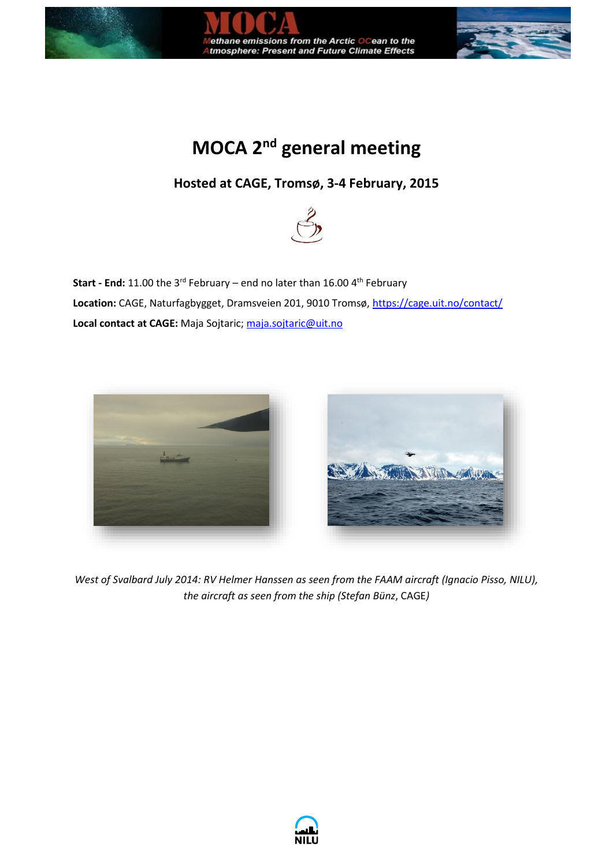

## **MOCA** 2<sup>nd</sup> general meeting

## **Hosted at CAGE, Tromsø, 3-4 February, 2015**



**Start - End:** 11.00 the 3<sup>rd</sup> February – end no later than 16.00 4<sup>th</sup> February Location: CAGE, Naturfagbygget, Dramsveien 201, 9010 Tromsø[, https://cage.uit.no/contact/](https://cage.uit.no/contact/) **Local contact at CAGE:** Maja Sojtaric; [maja.sojtaric@uit.no](mailto:maja.sojtaric@uit.no)



*West of Svalbard July 2014: RV Helmer Hanssen as seen from the FAAM aircraft (Ignacio Pisso, NILU), the aircraft as seen from the ship (Stefan Bünz*, CAGE*)*

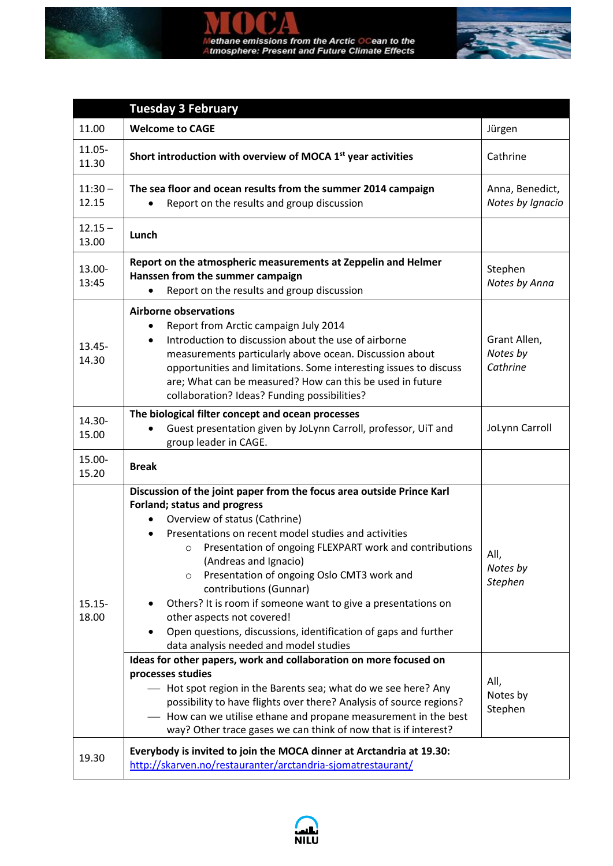



|                    | <b>Tuesday 3 February</b>                                                                                                                                                                                                                                                                                                                                                                                                                                                                                                                                                                                                                                                                                                                                                                                                       |                                                                   |
|--------------------|---------------------------------------------------------------------------------------------------------------------------------------------------------------------------------------------------------------------------------------------------------------------------------------------------------------------------------------------------------------------------------------------------------------------------------------------------------------------------------------------------------------------------------------------------------------------------------------------------------------------------------------------------------------------------------------------------------------------------------------------------------------------------------------------------------------------------------|-------------------------------------------------------------------|
| 11.00              | <b>Welcome to CAGE</b>                                                                                                                                                                                                                                                                                                                                                                                                                                                                                                                                                                                                                                                                                                                                                                                                          | Jürgen                                                            |
| 11.05-<br>11.30    | Short introduction with overview of MOCA 1 <sup>st</sup> year activities                                                                                                                                                                                                                                                                                                                                                                                                                                                                                                                                                                                                                                                                                                                                                        | Cathrine                                                          |
| $11:30 -$<br>12.15 | The sea floor and ocean results from the summer 2014 campaign<br>Report on the results and group discussion                                                                                                                                                                                                                                                                                                                                                                                                                                                                                                                                                                                                                                                                                                                     | Anna, Benedict,<br>Notes by Ignacio                               |
| $12.15 -$<br>13.00 | Lunch                                                                                                                                                                                                                                                                                                                                                                                                                                                                                                                                                                                                                                                                                                                                                                                                                           |                                                                   |
| 13.00-<br>13:45    | Report on the atmospheric measurements at Zeppelin and Helmer<br>Hanssen from the summer campaign<br>Report on the results and group discussion                                                                                                                                                                                                                                                                                                                                                                                                                                                                                                                                                                                                                                                                                 | Stephen<br>Notes by Anna                                          |
| $13.45 -$<br>14.30 | <b>Airborne observations</b><br>Report from Arctic campaign July 2014<br>Introduction to discussion about the use of airborne<br>$\bullet$<br>measurements particularly above ocean. Discussion about<br>opportunities and limitations. Some interesting issues to discuss<br>are; What can be measured? How can this be used in future<br>collaboration? Ideas? Funding possibilities?                                                                                                                                                                                                                                                                                                                                                                                                                                         | Grant Allen,<br>Notes by<br>Cathrine                              |
| 14.30-<br>15.00    | The biological filter concept and ocean processes<br>Guest presentation given by JoLynn Carroll, professor, UiT and<br>group leader in CAGE.                                                                                                                                                                                                                                                                                                                                                                                                                                                                                                                                                                                                                                                                                    | JoLynn Carroll                                                    |
| 15.00-<br>15.20    | <b>Break</b>                                                                                                                                                                                                                                                                                                                                                                                                                                                                                                                                                                                                                                                                                                                                                                                                                    |                                                                   |
| $15.15 -$<br>18.00 | Discussion of the joint paper from the focus area outside Prince Karl<br>Forland; status and progress<br>Overview of status (Cathrine)<br>Presentations on recent model studies and activities<br>Presentation of ongoing FLEXPART work and contributions<br>$\circ$<br>(Andreas and Ignacio)<br>Presentation of ongoing Oslo CMT3 work and<br>$\circ$<br>contributions (Gunnar)<br>Others? It is room if someone want to give a presentations on<br>other aspects not covered!<br>Open questions, discussions, identification of gaps and further<br>data analysis needed and model studies<br>Ideas for other papers, work and collaboration on more focused on<br>processes studies<br>- Hot spot region in the Barents sea; what do we see here? Any<br>possibility to have flights over there? Analysis of source regions? | All,<br>Notes by<br><b>Stephen</b><br>All,<br>Notes by<br>Stephen |
| 19.30              | - How can we utilise ethane and propane measurement in the best<br>way? Other trace gases we can think of now that is if interest?<br>Everybody is invited to join the MOCA dinner at Arctandria at 19.30:<br>http://skarven.no/restauranter/arctandria-sjomatrestaurant/                                                                                                                                                                                                                                                                                                                                                                                                                                                                                                                                                       |                                                                   |

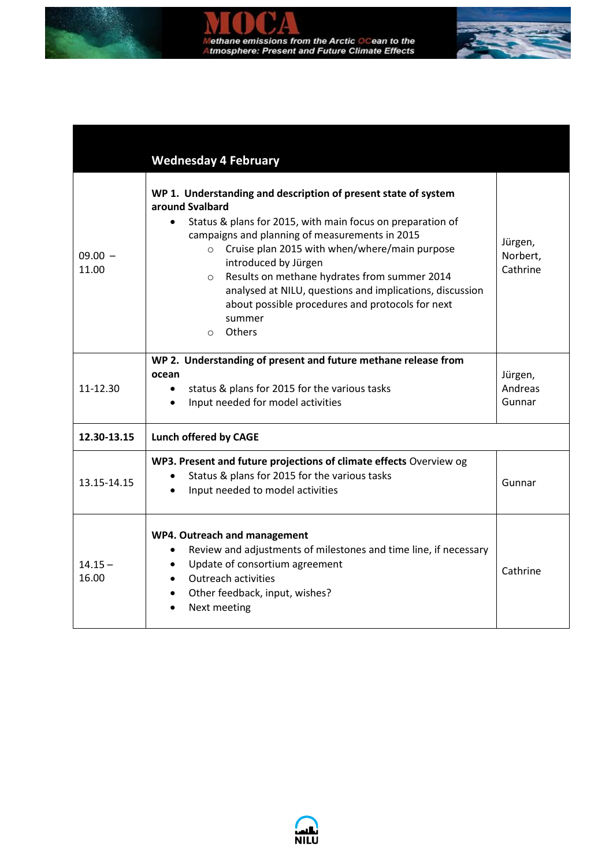

|                    | <b>Wednesday 4 February</b>                                                                                                                                                                                                                                                                                                                                                                                                                                                                     |                                 |  |
|--------------------|-------------------------------------------------------------------------------------------------------------------------------------------------------------------------------------------------------------------------------------------------------------------------------------------------------------------------------------------------------------------------------------------------------------------------------------------------------------------------------------------------|---------------------------------|--|
| $09.00 -$<br>11.00 | WP 1. Understanding and description of present state of system<br>around Svalbard<br>Status & plans for 2015, with main focus on preparation of<br>campaigns and planning of measurements in 2015<br>Cruise plan 2015 with when/where/main purpose<br>$\circ$<br>introduced by Jürgen<br>Results on methane hydrates from summer 2014<br>$\circ$<br>analysed at NILU, questions and implications, discussion<br>about possible procedures and protocols for next<br>summer<br>Others<br>$\circ$ | Jürgen,<br>Norbert,<br>Cathrine |  |
| 11-12.30           | WP 2. Understanding of present and future methane release from<br>ocean<br>status & plans for 2015 for the various tasks<br>$\bullet$<br>Input needed for model activities<br>$\bullet$                                                                                                                                                                                                                                                                                                         | Jürgen,<br>Andreas<br>Gunnar    |  |
| 12.30-13.15        | <b>Lunch offered by CAGE</b>                                                                                                                                                                                                                                                                                                                                                                                                                                                                    |                                 |  |
| 13.15-14.15        | WP3. Present and future projections of climate effects Overview og<br>Status & plans for 2015 for the various tasks<br>Input needed to model activities                                                                                                                                                                                                                                                                                                                                         | Gunnar                          |  |
| $14.15 -$<br>16.00 | WP4. Outreach and management<br>Review and adjustments of milestones and time line, if necessary<br>٠<br>Update of consortium agreement<br>$\bullet$<br><b>Outreach activities</b><br>$\bullet$<br>Other feedback, input, wishes?<br>$\bullet$<br>Next meeting                                                                                                                                                                                                                                  | Cathrine                        |  |